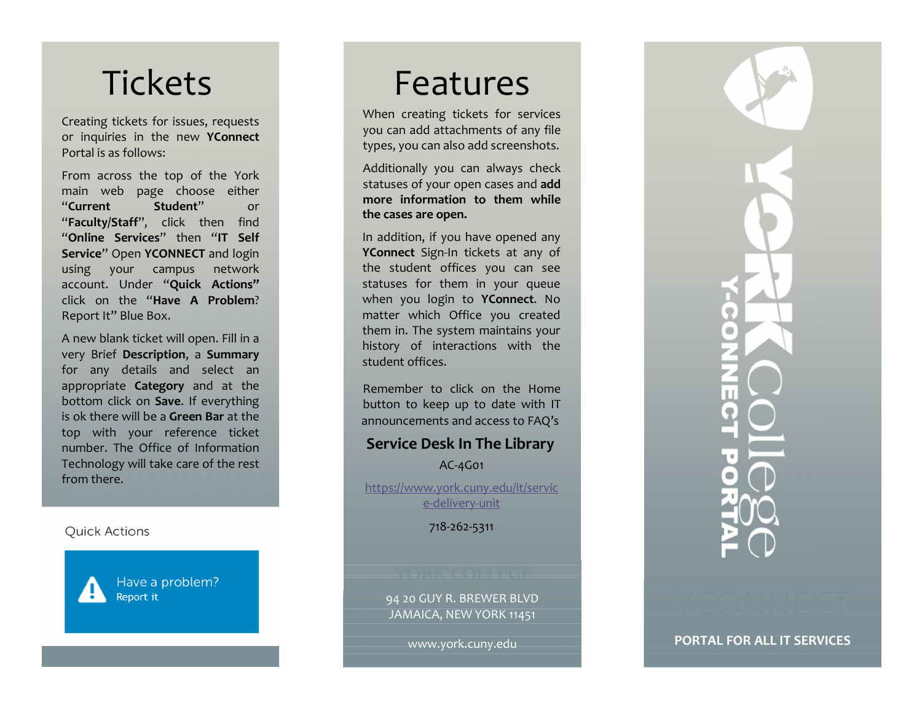# **Tickets**

Creating tickets for issues, requests or inquiries in the new YConnect Portal is as follows:

From across the top of the York main web page choose either "Current Student" or "Faculty/Staff", click then find "Online Services" then "IT Self Service" Open YCONNECT and login using your campus network account. Under "Quick Actions" click on the "Have A Problem? Report It" Blue Box.

<sup>A</sup> new blank ticket will open. Fill in <sup>a</sup> very Brief Description, a Summary for any details and select an appropriate Category and at the bottom click on Save. If everything is ok there will be a **Green Bar** at the top with your reference ticket number. The Office of Information Technology will take care of the rest from there.

**Quick Actions** 

Have a problem? Report it

## Features

When creating tickets for services you can add attachments of any file types, you can also add screenshots.

Additionally you can always check statuses of your open cases and add more information to them while the cases are open.

In addition, if you have opened any YConnect Sign-In tickets at any of the student offices you can see statuses for them in your queue when you login to YConnect. No matter which Office you created them in. The system maintains your history of interactions with the student offices.

Remember to click on the Home button to keep up to date with IT announcements and access to FAQ's

## Service Desk In The Library

AC-4G01

https://www.york.cuny.edu/it/servic e-delivery-unit

718-262-5311

- 94 <sup>20</sup> GUY R. BREWER BLVD JAMAICA, NEW YORK 11451

www.york.cuny.edu

PORTAL FOR ALL IT SERVICES